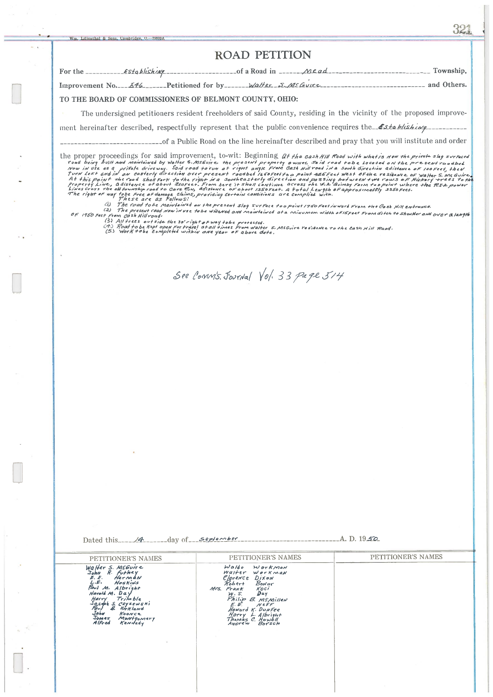| $\mathbf{L}$ | Wm, Lilienthal & Sons, Cambridge, O.-25003A<br>ROAD PETITION                                                                                                                                                                                                                                                                                                                                                                                                                                                                                                                                                                                                                                                                                                                                                                                                                                                                                                                                                                                                                                                                                                                                                                                                                                                                                                                                                                                                                                                                                                                                                                                                                                  |  |
|--------------|-----------------------------------------------------------------------------------------------------------------------------------------------------------------------------------------------------------------------------------------------------------------------------------------------------------------------------------------------------------------------------------------------------------------------------------------------------------------------------------------------------------------------------------------------------------------------------------------------------------------------------------------------------------------------------------------------------------------------------------------------------------------------------------------------------------------------------------------------------------------------------------------------------------------------------------------------------------------------------------------------------------------------------------------------------------------------------------------------------------------------------------------------------------------------------------------------------------------------------------------------------------------------------------------------------------------------------------------------------------------------------------------------------------------------------------------------------------------------------------------------------------------------------------------------------------------------------------------------------------------------------------------------------------------------------------------------|--|
|              |                                                                                                                                                                                                                                                                                                                                                                                                                                                                                                                                                                                                                                                                                                                                                                                                                                                                                                                                                                                                                                                                                                                                                                                                                                                                                                                                                                                                                                                                                                                                                                                                                                                                                               |  |
|              | Improvement No. __ 346______Petitioned for by______ Watter S. Ms Guice______________________________ and Others.                                                                                                                                                                                                                                                                                                                                                                                                                                                                                                                                                                                                                                                                                                                                                                                                                                                                                                                                                                                                                                                                                                                                                                                                                                                                                                                                                                                                                                                                                                                                                                              |  |
|              | TO THE BOARD OF COMMISSIONERS OF BELMONT COUNTY, OHIO:                                                                                                                                                                                                                                                                                                                                                                                                                                                                                                                                                                                                                                                                                                                                                                                                                                                                                                                                                                                                                                                                                                                                                                                                                                                                                                                                                                                                                                                                                                                                                                                                                                        |  |
|              | The undersigned petitioners resident freeholders of said County, residing in the vicinity of the proposed improve-                                                                                                                                                                                                                                                                                                                                                                                                                                                                                                                                                                                                                                                                                                                                                                                                                                                                                                                                                                                                                                                                                                                                                                                                                                                                                                                                                                                                                                                                                                                                                                            |  |
|              | ment hereinafter described, respectfully represent that the public convenience requires the Establishing-                                                                                                                                                                                                                                                                                                                                                                                                                                                                                                                                                                                                                                                                                                                                                                                                                                                                                                                                                                                                                                                                                                                                                                                                                                                                                                                                                                                                                                                                                                                                                                                     |  |
|              |                                                                                                                                                                                                                                                                                                                                                                                                                                                                                                                                                                                                                                                                                                                                                                                                                                                                                                                                                                                                                                                                                                                                                                                                                                                                                                                                                                                                                                                                                                                                                                                                                                                                                               |  |
|              | __________________________of a Public Road on the line hereinafter described and pray that you will institute and order<br>the proper proceedings for said improvement, to-wit: Beginning at the cash Hill Road with what is now the private slag surfaced<br>road being built and Maintained by Walter S. Ms6vire the present property owner. Said road tobe located on the present roadbed<br>Now in use as a private driveway. Said road to run at right ungle From Cash Hill road in a south direction adistance of 100 Feet, then<br>turn Left and in an casterly direction over present roadbed <i>it</i> sofeet to a point 425 feet west of the residence of walter S. McGuire.<br>At this point the road shall fork to the right in a southeasterly direction and passing between two rows of Hickery trees to the<br>Property Live, adistance of about 25ofeet. From here it shall continue across the W.A. Quimby<br>The right of way tobe free of damage claims, providing certains conditions are complied with.<br>These are as Follows:<br>1) The road tobe Maintained on the present slag surface to a point 1750 feet in ward From the Cosh Hill entrance.<br>(2) The present road now in use to be widened and maintained at a minumum width of 15 feet From ditch to shoulder and over a length<br>OF 1950 Feet From COSH Hillroad.<br>(3) All trees outside the so'right of way tobe prorected.<br>(4) Road to be kept open for travel at all times from walter s. MsGuire residence to the Cash Nill Raad.<br>(5.) Work tobe completed within one year of above date.<br>See Commis. Journal Vol. 33 page 314<br>the property of the control of<br>control of the control |  |
|              |                                                                                                                                                                                                                                                                                                                                                                                                                                                                                                                                                                                                                                                                                                                                                                                                                                                                                                                                                                                                                                                                                                                                                                                                                                                                                                                                                                                                                                                                                                                                                                                                                                                                                               |  |

## Dated this  $-$  4  $\frac{1}{4}$  of  $\frac{5}{9}$  exiber  $\frac{1}{2}$

 $\sim$ 

 $\omega$ 

| PETITIONER'S NAMES                                                                                                                                                                                                                                    | PETITIONER'S NAMES                                                                                                                                                                                                                                     | PETITIONER'S NAMES |
|-------------------------------------------------------------------------------------------------------------------------------------------------------------------------------------------------------------------------------------------------------|--------------------------------------------------------------------------------------------------------------------------------------------------------------------------------------------------------------------------------------------------------|--------------------|
| Wafter S. MEGuire<br>John R. Futhey<br>E.E. Herman<br>$E, E,$<br>$L, E,$<br>Hoskins<br>Paul M. Albright<br>Harald M. Day<br>Trimble<br>Harry<br>Joseph S. Czyzewski<br>Paul B. Knikland<br>John<br>KOONCE<br>James<br>Alfred<br>Montgomery<br>Kennedy | Waldo WorkMan<br>Waster Workman<br>Clarence Dixon<br>Robert Bonar<br>Mrs. Frank Koci<br>$\mathbf{p}_{\alpha\gamma}$<br>$W \cdot S$<br>Philip B. MSMIllen<br>E.E.<br>NEFF<br>Howard K. DUNFee<br>Harry L. Albright<br>Thomas C. Howell<br>Andrew Borsch |                    |
|                                                                                                                                                                                                                                                       |                                                                                                                                                                                                                                                        |                    |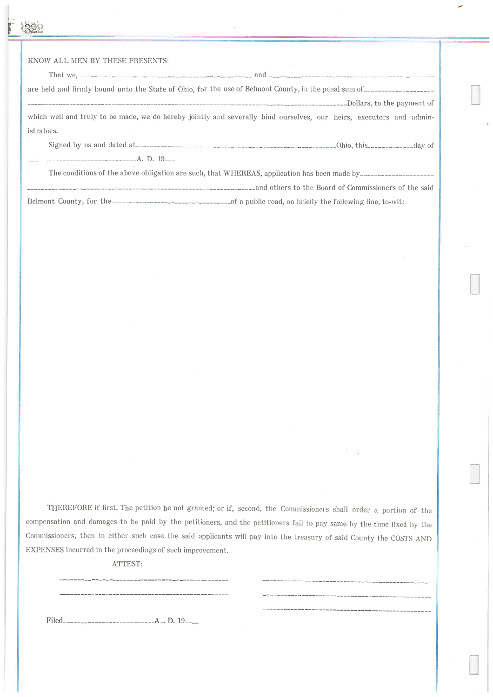r

| KNOW ALL MEN BY THESE PRESENTS:                                                                                     |
|---------------------------------------------------------------------------------------------------------------------|
|                                                                                                                     |
| are held and firmly bound unto the State of Ohio, for the use of Belmont County, in the penal sum of                |
|                                                                                                                     |
| which well and truly to be made, we do hereby jointly and severally bind ourselves, our heirs, executors and admin- |
| istrators.                                                                                                          |
|                                                                                                                     |
|                                                                                                                     |
| The conditions of the above obligation are such, that WHEREAS, application has been made by                         |
|                                                                                                                     |
| Belmont County, for the_____________________________of a public road, on briefly the following line, to-wit:        |

THEREFORE if first, The petition be not granted; or if, second, the Commissioners shall order <sup>a</sup> portion of the compensation and damages to be paid by the petitioners, and the petitioners fail to pay same by the time fixed by the Commissioners; then in either such case the said applicants will pay into the treasury of said County the COSTS AND EXPENSES incurred in the proceedings of such improvement. ATTEST: Filed A. D. 19\_\_\_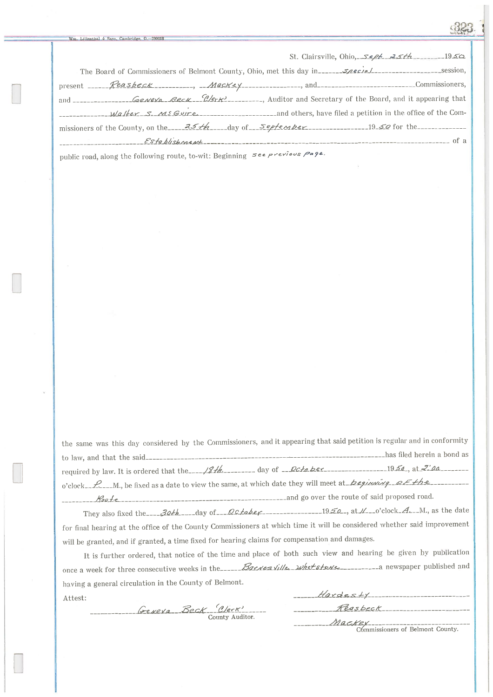|                                                                                                                                                                            |  | St. Clairsville, Ohio, $Sepk$ 25th 1950 |
|----------------------------------------------------------------------------------------------------------------------------------------------------------------------------|--|-----------------------------------------|
|                                                                                                                                                                            |  |                                         |
| present _____ Reasbeck _________, __ Mackey ______________, and _______________________Commissioners,                                                                      |  |                                         |
| and ______________ <i>_Geneva_Beck__<sup>_Q</sup>lerk</i> ?__________, Auditor and Secretary of the Board, and it appearing that                                           |  |                                         |
| $\frac{W}{a}$ //er S Ms Guire<br>____________                                                                                                                              |  |                                         |
| missioners of the County, on the $-25th$ , $\frac{36th}{}$ and $\frac{36th}{}$ $\frac{36th}{}$ and $\frac{36th}{}$ and $\frac{36th}{}$ and $\frac{36th}{}$ for the $-20th$ |  |                                         |
|                                                                                                                                                                            |  |                                         |

public road, along the following route, to-wit: Beginning  $\leq$ ee previous page.

Wm. Lilienthale Sons, Cambridge

the same was this day considered by the Commissioners, and it appearing that said petition is regular and in conformity to Jaw, and that the said has filed herein a bond as required by law. It is ordered that the  $12f/2$ . o'clock\_ P.\_\_M., be fixed as a date to view the same, at which date they will meet at beginning effect and go over the route of said proposed road. They also fixed the\_\_\_\_  $322h$ \_\_\_\_day of\_\_\_  $02f$ ober\_\_\_\_\_\_\_\_\_\_\_\_\_\_\_\_1950\_, at  $1/2$ \_\_o'clock  $A$ \_\_M., as the date

It is further ordered, that notice of the time and place of both such view and hearing be given by publication once a week for three consecutive weeks in the  $\frac{B_{\alpha \alpha \beta \epsilon}}{B_{\alpha \beta \epsilon}}$  whet store a newspaper published and having a general circulation in the County of Belmont.

for final hearing at the office of the County Commissioners at which time it will be considered whether said improvement

will be granted, and if granted, <sup>a</sup> time fixed for hearing claims for compensation and damages.

Attest:

Clerk' \_\_\_\_\_\_Geveva Beck Clerk'

 $\frac{Haxdes+f}{f}$ 

 $F\alpha s$ beck

Cómmissioners of Bernont County.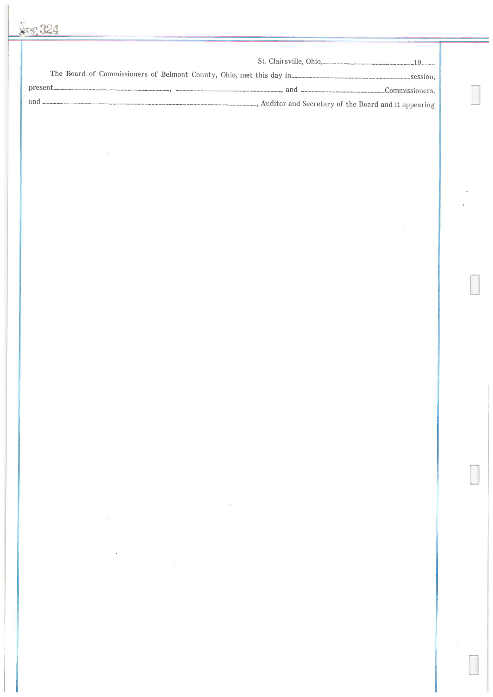•- s-



U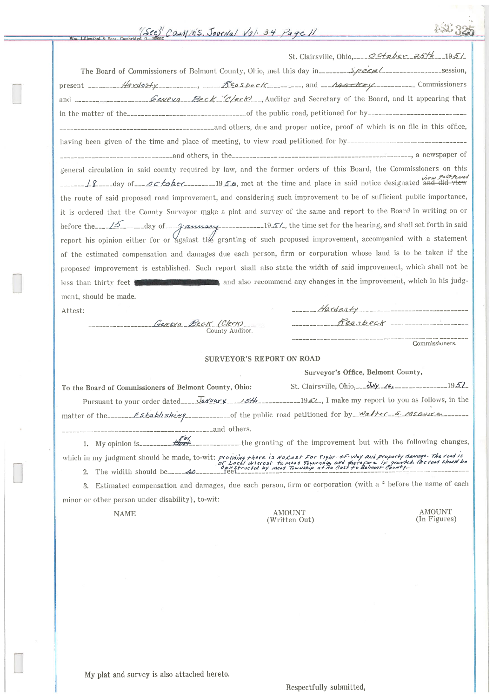$\frac{(\mathcal{S}ee)^{1}\sqrt{2\alpha M/MS}}{Lilientbal\&\, Sons.\nCambridee.\n0. -28003C$ 

| Wm. Lilienthal & Sons, Cambridge, 0. 250030                                                                                                                                                                                               |                                                   |
|-------------------------------------------------------------------------------------------------------------------------------------------------------------------------------------------------------------------------------------------|---------------------------------------------------|
|                                                                                                                                                                                                                                           | St. Clairsville, Ohio, $0.6666667257/1951$        |
|                                                                                                                                                                                                                                           |                                                   |
|                                                                                                                                                                                                                                           |                                                   |
|                                                                                                                                                                                                                                           |                                                   |
| in the matter of the_______________________________of the public road, petitioned for by________________________                                                                                                                          |                                                   |
|                                                                                                                                                                                                                                           |                                                   |
| having been given of the time and place of meeting, to view road petitioned for by------------------------------                                                                                                                          |                                                   |
|                                                                                                                                                                                                                                           |                                                   |
| general circulation in said county required by law, and the former orders of this Board, the Commissioners on this                                                                                                                        |                                                   |
| <u>______/8</u> ____day of___ <i>QC</i> fober________1950, met at the time and place in said notice designated and did view                                                                                                               |                                                   |
| the route of said proposed road improvement, and considering such improvement to be of sufficient public importance,                                                                                                                      |                                                   |
| it is ordered that the County Surveyor make a plat and survey of the same and report to the Board in writing on or                                                                                                                        |                                                   |
|                                                                                                                                                                                                                                           |                                                   |
| before the $\frac{15}{2}$ day of $\frac{4}{3}$ annary 1957, the time set for the hearing, and shall set forth in said<br>report his opinion either for or against the granting of such proposed improvement, accompanied with a statement |                                                   |
| of the estimated compensation and damages due each person, firm or corporation whose land is to be taken if the                                                                                                                           |                                                   |
| proposed improvement is established. Such report shall also state the width of said improvement, which shall not be                                                                                                                       |                                                   |
| less than thirty feet the state of the state of the improvement, which in his judg-                                                                                                                                                       |                                                   |
|                                                                                                                                                                                                                                           |                                                   |
| ment, should be made.                                                                                                                                                                                                                     | Hardesty                                          |
| Attest:                                                                                                                                                                                                                                   | Regsbecy                                          |
| Genera Beck (Clerk)<br>County Auditor.                                                                                                                                                                                                    |                                                   |
|                                                                                                                                                                                                                                           | Commissioners.                                    |
| <b>SURVEYOR'S REPORT ON ROAD</b>                                                                                                                                                                                                          |                                                   |
|                                                                                                                                                                                                                                           | Surveyor's Office, Belmont County,                |
| To the Board of Commissioners of Belmont County, Ohio:                                                                                                                                                                                    | St. Clairsville, Ohio, $J_{\nu/\nu}$ /6, $10.195$ |
| Pursuant to your order dated___ January______5th______________1952_, I make my report to you as follows, in the                                                                                                                           |                                                   |
| matter of the______Establishing__________of the public road petitioned for by_walter_s. Mesure_______                                                                                                                                     |                                                   |
|                                                                                                                                                                                                                                           |                                                   |
|                                                                                                                                                                                                                                           |                                                   |
| which in my judgment should be made, to-wit: providing there is no cost For right-of-way and property damage. the road is<br>of Local interest to mead Township and there fore if granted, the road should be<br>2. The widith shou       |                                                   |
|                                                                                                                                                                                                                                           |                                                   |
| Estimated compensation and damages, due each person, firm or corporation (with a * before the name of each<br>3.                                                                                                                          |                                                   |
| minor or other person under disability), to-wit:                                                                                                                                                                                          |                                                   |

 $\mathbb{S}^1$ 

NAME AMOUNT AMOUNT (Written Out) (In Figures)

My plat and survey is also attached hereto.

Respectfully submitted,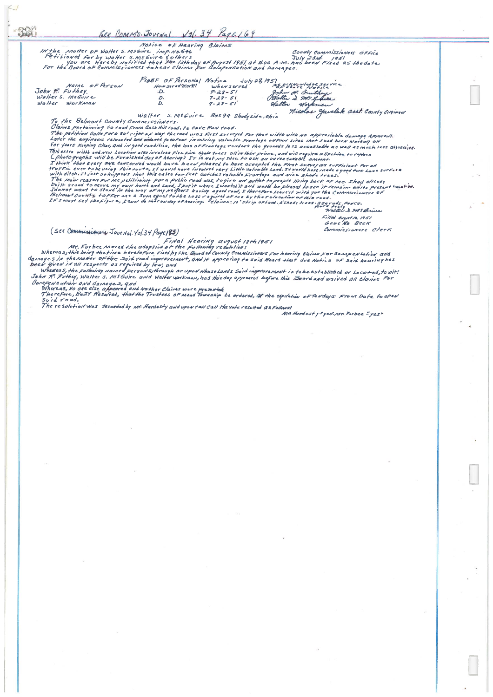See Comms. Journal Vol. 34 Page169

Notice of Hearing Claims IN the Matter of Walter 5. M-Guire imp. No.546<br>Petitioned For by walter 5. M. Soure Control 55 County Commissioners office<br>For the Board of Commissioners to hear the 13th day of August 1951 at 1600 A.M. has been Fixed as t

|                      | ProBF OF Personal Notice                 | $JU/y$ 28, 1951 |                                       |  |
|----------------------|------------------------------------------|-----------------|---------------------------------------|--|
| Name of Person       | How sered D'OrR'                         | whenserved      | WE acknowledge service                |  |
| John R. Futhey.      | ٠D.                                      | $7 - 28 - 51$   | John R. Futhey                        |  |
| Walters. McGuire     | D.                                       | $7 - 28 - 51$   | Petalter & Mc & free                  |  |
| $W$ alter<br>Workman |                                          | $7 - 28 - 51$   | Walter<br>Workmen                     |  |
|                      | Walter S. M& Guire Box94 Shadyside, ohio |                 | Nicolas yavelak asst. County Engineer |  |

To the Belmont County Commissioners.<br>Claims pertaining to road From Cash Hill road, to Cove Run road.

The petition Calls Fora 30' right of way theroad was First surveyed for that width with no appresiable domage Apparent.<br>Later the engineers relocated and midened to coreer in volving valuable frontage on four sites that sh For years Keeping Clear, and in good condition, the loss of Frontage renders the grounds less accessable as well as nuch less attractive.

This extra width and new Location also involves Five Five Shade trees all in their prime, and will require a lifetime to replace<br>C photo graphs will be Furnished day of hearing) It is not my Idea to ask an united same adde

The main reason for me petitioning for a public road was, to give an outlet to people living back of me. I had already The Main reason for me petitioning for a public road was, to give an outlet to people living bock of me. Inod already<br>bujif aroad to serve my own home and Land, I put it where Iwanted it and would be pleased to see it rema

Filled august 10, 1951 Gene Na Beck Commissioners Clerk

(See Commissioners Journal Vol. 34 Page 185)

Final Hearing august 13th 1951

Mr. Fur bee moved the adoption of the following resolution:

Whereas, this being the time heretofore fixed by the Bourd of County Commissioners for hearing claims for Compensation and dannages in the natter of the Said road improvement, and it appearing to said Board that due Notice of Said hearing has<br>been given in all respects as required by law; and<br>whereas, the following named persons, through or up

John R. Futhey, Walter s. MSGuire and Walter workman, has this day appeared before this Board and waived Oll Claims For

Gorspen's afion and danage.s, and<br>Whereas, no one else appeared and nother Claires were presented;<br>Therefore, BeIt Resalied, that the Trustees of mead Towaship be ordered, at the expiration of tendays From Date to open  $s_{q/d}$  road.

The resolution Was seconded by Mr. Hardesty and upon rall Call the vate resulted as Followsi

MA Hardesty syes Mr. Forbee "yes"

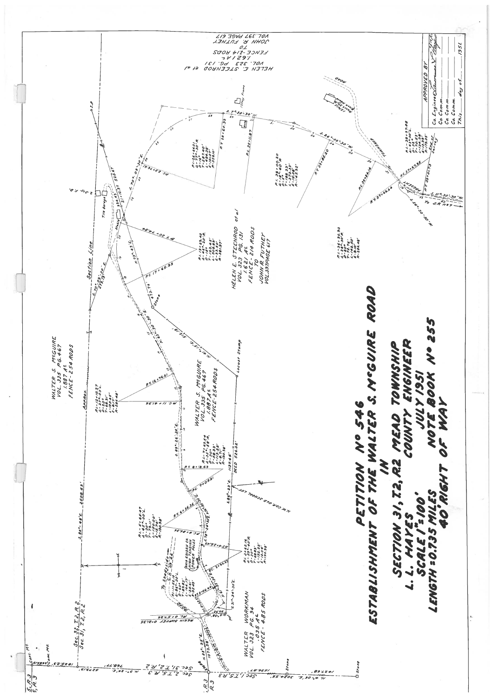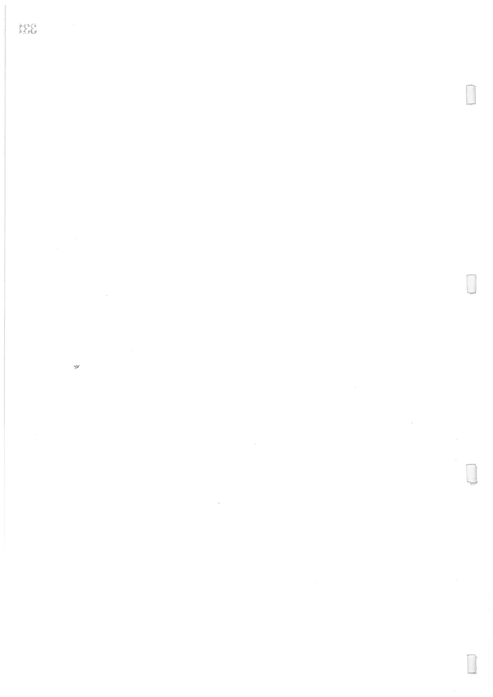默

 $\bar{N}$ 

 $\gamma\!\!\!\!\!\beta$ 



 $\leq$ 

 $\tilde{\mathbf{X}}$ 

 $\sim$ 

 $\frac{1}{\sqrt{2}}$ 

 $\mathcal{N}$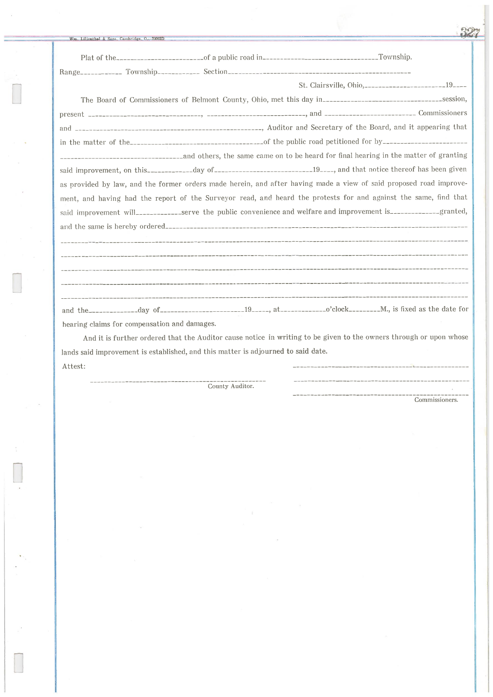| Wm. Lilienthal & Sons. Cambridge. O.-25003D  |                                                                                   |                                                                                                                    |
|----------------------------------------------|-----------------------------------------------------------------------------------|--------------------------------------------------------------------------------------------------------------------|
|                                              |                                                                                   |                                                                                                                    |
|                                              |                                                                                   |                                                                                                                    |
|                                              |                                                                                   |                                                                                                                    |
|                                              |                                                                                   |                                                                                                                    |
|                                              |                                                                                   |                                                                                                                    |
|                                              |                                                                                   |                                                                                                                    |
|                                              |                                                                                   |                                                                                                                    |
|                                              |                                                                                   |                                                                                                                    |
|                                              |                                                                                   |                                                                                                                    |
|                                              |                                                                                   | as provided by law, and the former orders made herein, and after having made a view of said proposed road improve- |
|                                              |                                                                                   | ment, and having had the report of the Surveyor read, and heard the protests for and against the same, find that   |
|                                              |                                                                                   | said improvement will_____________serve the public convenience and welfare and improvement is___________granted,   |
|                                              |                                                                                   |                                                                                                                    |
|                                              |                                                                                   |                                                                                                                    |
|                                              |                                                                                   |                                                                                                                    |
|                                              |                                                                                   |                                                                                                                    |
|                                              |                                                                                   |                                                                                                                    |
|                                              |                                                                                   |                                                                                                                    |
|                                              |                                                                                   |                                                                                                                    |
| hearing claims for compensation and damages. |                                                                                   |                                                                                                                    |
|                                              |                                                                                   | And it is further ordered that the Auditor cause notice in writing to be given to the owners through or upon whose |
|                                              | lands said improvement is established, and this matter is adjourned to said date. |                                                                                                                    |

Attest:

County Auditor.

Commissioners.



 $\mathcal{L}$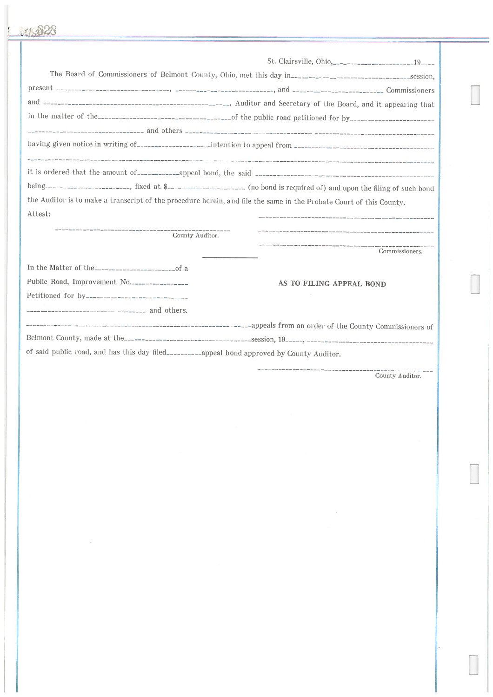|  | "我?" |
|--|------|
|  |      |

|                                                  | being--------------------------, fixed at \$------------------------ (no bond is required of) and upon the filing of such bond |
|--------------------------------------------------|--------------------------------------------------------------------------------------------------------------------------------|
|                                                  | the Auditor is to make a transcript of the procedure herein, and file the same in the Probate Court of this County.            |
| Attest:                                          |                                                                                                                                |
|                                                  | County Auditor.                                                                                                                |
|                                                  | Commissioners.                                                                                                                 |
| In the Matter of the________________________of a |                                                                                                                                |
| Public Road, Improvement No.                     | AS TO FILING APPEAL BOND                                                                                                       |
| Petitioned for by------------------------------  |                                                                                                                                |
|                                                  |                                                                                                                                |
|                                                  |                                                                                                                                |
|                                                  |                                                                                                                                |
|                                                  | of said public road, and has this day filed____________appeal bond approved by County Auditor.                                 |
|                                                  |                                                                                                                                |

County Auditor.

 $\langle \sigma \rangle$ 

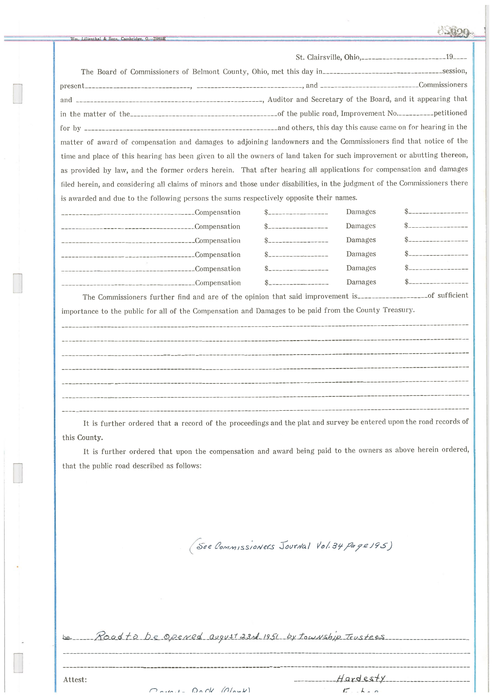9.1

| Wm. Lilienthal & Sons. Cambridge. O. 25003E                                                                                 |                                  |         |                      |
|-----------------------------------------------------------------------------------------------------------------------------|----------------------------------|---------|----------------------|
|                                                                                                                             |                                  |         |                      |
|                                                                                                                             |                                  |         |                      |
|                                                                                                                             |                                  |         |                      |
|                                                                                                                             |                                  |         |                      |
|                                                                                                                             |                                  |         |                      |
|                                                                                                                             |                                  |         |                      |
| matter of award of compensation and damages to adjoining landowners and the Commissioners find that notice of the           |                                  |         |                      |
| time and place of this hearing has been given to all the owners of land taken for such improvement or abutting thereon,     |                                  |         |                      |
| as provided by law, and the former orders herein. That after hearing all applications for compensation and damages          |                                  |         |                      |
| filed herein, and considering all claims of minors and those under disabilities, in the judgment of the Commissioners there |                                  |         |                      |
| is awarded and due to the following persons the sums respectively opposite their names.                                     |                                  |         |                      |
| -------------------------------------Compensation                                                                           | \$___________________            | Damages | \$__________________ |
|                                                                                                                             | $\mathbb{S}_{------------------$ | Damages | \$------------------ |
|                                                                                                                             | $S$ -----------------            | Damages | \$------------------ |
|                                                                                                                             | \$__________________             | Damages | \$__________________ |
|                                                                                                                             | $\$\_$                           | Damages | \$------------------ |
|                                                                                                                             | $S$ ___________________          | Damages | \$------------------ |
| The Commissioners further find and are of the opinion that said improvement is___________________of sufficient              |                                  |         |                      |
| importance to the public for all of the Compensation and Damages to be paid from the County Treasury.                       |                                  |         |                      |
|                                                                                                                             |                                  |         |                      |
|                                                                                                                             |                                  |         |                      |
|                                                                                                                             |                                  |         |                      |
|                                                                                                                             |                                  |         |                      |
|                                                                                                                             |                                  |         |                      |
|                                                                                                                             |                                  |         |                      |
|                                                                                                                             |                                  |         |                      |
| It is further ordered that a record of the proceedings and the plat and survey be entered upon the road records of          |                                  |         |                      |
| this County.                                                                                                                |                                  |         |                      |

It is further ordered that upon the compensation and award being paid to the owners as above herein ordered, that the public road described as follows:

(See Commissioners Journal Vol. 34 page 195) be Roadto be opened august 23M 1951 by township Trustees Count Dock (Aloun) Fisher Attest: